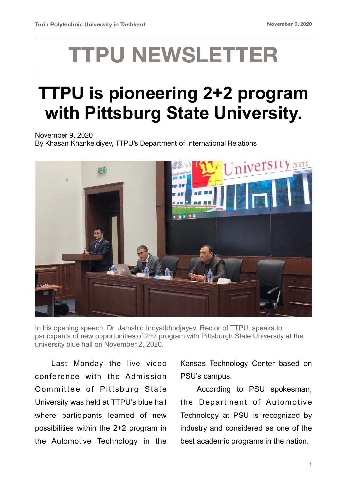## **TTPU NEWSLETTER**

## **TTPU is pioneering 2+2 program with Pittsburg State University.**

November 9, 2020

By Khasan Khankeldiyev, TTPU's Department of International Relations



In his opening speech, Dr. Jamshid Inoyatkhodjayev, Rector of TTPU, speaks to participants of new opportunities of 2+2 program with Pittsburgh State University at the university blue hall on November 2, 2020.

Last Monday the live video conference with the Admission Committee of Pittsburg State University was held at TTPU's blue hall where participants learned of new possibilities within the 2+2 program in the Automotive Technology in the Kansas Technology Center based on PSU's campus.

 According to PSU spokesman, the Department of Automotive Technology at PSU is recognized by industry and considered as one of the best academic programs in the nation.